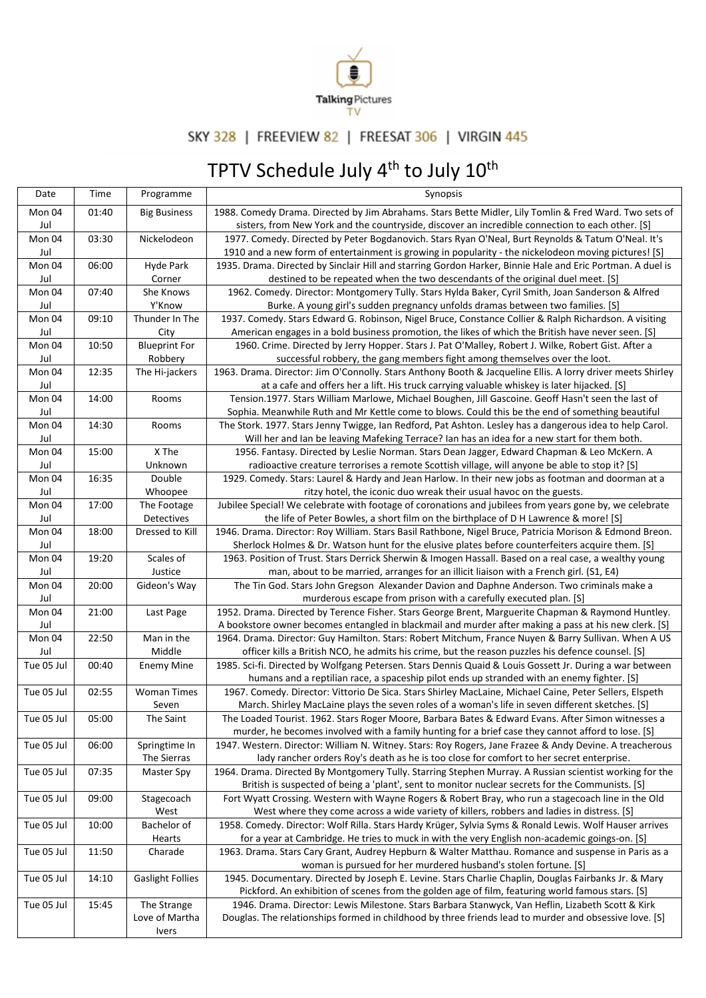

## SKY 328 | FREEVIEW 82 | FREESAT 306 | VIRGIN 445

## TPTV Schedule July 4<sup>th</sup> to July 10<sup>th</sup>

| Date          | Time  | Programme                     | Synopsis                                                                                                                                                                                              |
|---------------|-------|-------------------------------|-------------------------------------------------------------------------------------------------------------------------------------------------------------------------------------------------------|
| Mon 04        | 01:40 | <b>Big Business</b>           | 1988. Comedy Drama. Directed by Jim Abrahams. Stars Bette Midler, Lily Tomlin & Fred Ward. Two sets of                                                                                                |
| Jul           |       |                               | sisters, from New York and the countryside, discover an incredible connection to each other. [S]                                                                                                      |
| Mon 04        | 03:30 | Nickelodeon                   | 1977. Comedy. Directed by Peter Bogdanovich. Stars Ryan O'Neal, Burt Reynolds & Tatum O'Neal. It's                                                                                                    |
| Jul           |       |                               | 1910 and a new form of entertainment is growing in popularity - the nickelodeon moving pictures! [S]                                                                                                  |
| Mon 04        | 06:00 | Hyde Park                     | 1935. Drama. Directed by Sinclair Hill and starring Gordon Harker, Binnie Hale and Eric Portman. A duel is                                                                                            |
| Jul           |       | Corner                        | destined to be repeated when the two descendants of the original duel meet. [S]                                                                                                                       |
| Mon 04        | 07:40 | She Knows                     | 1962. Comedy. Director: Montgomery Tully. Stars Hylda Baker, Cyril Smith, Joan Sanderson & Alfred                                                                                                     |
| Jul           |       | Y'Know                        | Burke. A young girl's sudden pregnancy unfolds dramas between two families. [S]                                                                                                                       |
| Mon 04        | 09:10 | Thunder In The                | 1937. Comedy. Stars Edward G. Robinson, Nigel Bruce, Constance Collier & Ralph Richardson. A visiting                                                                                                 |
| Jul           |       | City                          | American engages in a bold business promotion, the likes of which the British have never seen. [S]                                                                                                    |
| Mon 04        | 10:50 | <b>Blueprint For</b>          | 1960. Crime. Directed by Jerry Hopper. Stars J. Pat O'Malley, Robert J. Wilke, Robert Gist. After a                                                                                                   |
| Jul           |       | Robbery                       | successful robbery, the gang members fight among themselves over the loot.                                                                                                                            |
| Mon 04        | 12:35 | The Hi-jackers                | 1963. Drama. Director: Jim O'Connolly. Stars Anthony Booth & Jacqueline Ellis. A lorry driver meets Shirley                                                                                           |
| Jul           |       |                               | at a cafe and offers her a lift. His truck carrying valuable whiskey is later hijacked. [S]                                                                                                           |
| Mon 04        | 14:00 | Rooms                         | Tension.1977. Stars William Marlowe, Michael Boughen, Jill Gascoine. Geoff Hasn't seen the last of                                                                                                    |
| Jul           |       |                               | Sophia. Meanwhile Ruth and Mr Kettle come to blows. Could this be the end of something beautiful                                                                                                      |
| Mon 04        | 14:30 | Rooms                         | The Stork. 1977. Stars Jenny Twigge, Ian Redford, Pat Ashton. Lesley has a dangerous idea to help Carol.                                                                                              |
| Jul           |       |                               | Will her and Ian be leaving Mafeking Terrace? Ian has an idea for a new start for them both.                                                                                                          |
| Mon 04        | 15:00 | X The                         | 1956. Fantasy. Directed by Leslie Norman. Stars Dean Jagger, Edward Chapman & Leo McKern. A                                                                                                           |
| Jul<br>Mon 04 | 16:35 | Unknown<br>Double             | radioactive creature terrorises a remote Scottish village, will anyone be able to stop it? [S]                                                                                                        |
|               |       |                               | 1929. Comedy. Stars: Laurel & Hardy and Jean Harlow. In their new jobs as footman and doorman at a                                                                                                    |
| Jul<br>Mon 04 | 17:00 | Whoopee                       | ritzy hotel, the iconic duo wreak their usual havoc on the guests.<br>Jubilee Special! We celebrate with footage of coronations and jubilees from years gone by, we celebrate                         |
| Jul           |       | The Footage<br>Detectives     | the life of Peter Bowles, a short film on the birthplace of D H Lawrence & more! [S]                                                                                                                  |
| Mon 04        | 18:00 | Dressed to Kill               | 1946. Drama. Director: Roy William. Stars Basil Rathbone, Nigel Bruce, Patricia Morison & Edmond Breon.                                                                                               |
| Jul           |       |                               | Sherlock Holmes & Dr. Watson hunt for the elusive plates before counterfeiters acquire them. [S]                                                                                                      |
| Mon 04        | 19:20 | Scales of                     | 1963. Position of Trust. Stars Derrick Sherwin & Imogen Hassall. Based on a real case, a wealthy young                                                                                                |
| Jul           |       | Justice                       | man, about to be married, arranges for an illicit liaison with a French girl. (S1, E4)                                                                                                                |
| Mon 04        | 20:00 | Gideon's Way                  | The Tin God. Stars John Gregson Alexander Davion and Daphne Anderson. Two criminals make a                                                                                                            |
| Jul           |       |                               | murderous escape from prison with a carefully executed plan. [S]                                                                                                                                      |
| Mon 04        | 21:00 | Last Page                     | 1952. Drama. Directed by Terence Fisher. Stars George Brent, Marguerite Chapman & Raymond Huntley.                                                                                                    |
| Jul           |       |                               | A bookstore owner becomes entangled in blackmail and murder after making a pass at his new clerk. [S]                                                                                                 |
| Mon 04        | 22:50 | Man in the                    | 1964. Drama. Director: Guy Hamilton. Stars: Robert Mitchum, France Nuyen & Barry Sullivan. When A US                                                                                                  |
| Jul           |       | Middle                        | officer kills a British NCO, he admits his crime, but the reason puzzles his defence counsel. [S]                                                                                                     |
| Tue 05 Jul    | 00:40 | <b>Enemy Mine</b>             | 1985. Sci-fi. Directed by Wolfgang Petersen. Stars Dennis Quaid & Louis Gossett Jr. During a war between                                                                                              |
|               |       |                               | humans and a reptilian race, a spaceship pilot ends up stranded with an enemy fighter. [S]                                                                                                            |
| Tue 05 Jul    | 02:55 | <b>Woman Times</b>            | 1967. Comedy. Director: Vittorio De Sica. Stars Shirley MacLaine, Michael Caine, Peter Sellers, Elspeth                                                                                               |
|               |       | Seven                         | March. Shirley MacLaine plays the seven roles of a woman's life in seven different sketches. [S]                                                                                                      |
| Tue 05 Jul    | 05:00 | The Saint                     | The Loaded Tourist. 1962. Stars Roger Moore, Barbara Bates & Edward Evans. After Simon witnesses a                                                                                                    |
|               |       |                               | murder, he becomes involved with a family hunting for a brief case they cannot afford to lose. [S]                                                                                                    |
| Tue 05 Jul    | 06:00 | Springtime In                 | 1947. Western. Director: William N. Witney. Stars: Roy Rogers, Jane Frazee & Andy Devine. A treacherous                                                                                               |
|               |       | The Sierras                   | lady rancher orders Roy's death as he is too close for comfort to her secret enterprise.                                                                                                              |
| Tue 05 Jul    | 07:35 | Master Spy                    | 1964. Drama. Directed By Montgomery Tully. Starring Stephen Murray. A Russian scientist working for the                                                                                               |
|               |       |                               | British is suspected of being a 'plant', sent to monitor nuclear secrets for the Communists. [S]                                                                                                      |
| Tue 05 Jul    | 09:00 | Stagecoach                    | Fort Wyatt Crossing. Western with Wayne Rogers & Robert Bray, who run a stagecoach line in the Old                                                                                                    |
|               |       | West                          | West where they come across a wide variety of killers, robbers and ladies in distress. [S]                                                                                                            |
| Tue 05 Jul    | 10:00 | Bachelor of                   | 1958. Comedy. Director: Wolf Rilla. Stars Hardy Krüger, Sylvia Syms & Ronald Lewis. Wolf Hauser arrives                                                                                               |
|               |       | Hearts                        | for a year at Cambridge. He tries to muck in with the very English non-academic goings-on. [S]                                                                                                        |
| Tue 05 Jul    | 11:50 | Charade                       | 1963. Drama. Stars Cary Grant, Audrey Hepburn & Walter Matthau. Romance and suspense in Paris as a                                                                                                    |
|               |       |                               | woman is pursued for her murdered husband's stolen fortune. [S]                                                                                                                                       |
| Tue 05 Jul    | 14:10 | <b>Gaslight Follies</b>       | 1945. Documentary. Directed by Joseph E. Levine. Stars Charlie Chaplin, Douglas Fairbanks Jr. & Mary                                                                                                  |
| Tue 05 Jul    | 15:45 |                               | Pickford. An exhibition of scenes from the golden age of film, featuring world famous stars. [S]<br>1946. Drama. Director: Lewis Milestone. Stars Barbara Stanwyck, Van Heflin, Lizabeth Scott & Kirk |
|               |       | The Strange<br>Love of Martha | Douglas. The relationships formed in childhood by three friends lead to murder and obsessive love. [S]                                                                                                |
|               |       | Ivers                         |                                                                                                                                                                                                       |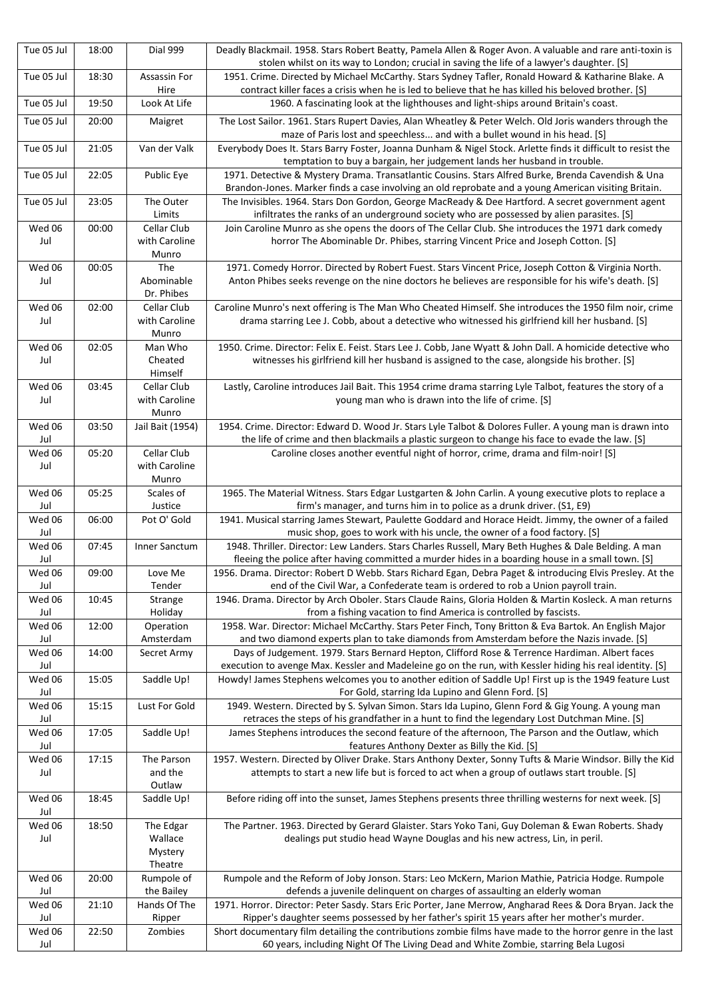| Tue 05 Jul    | 18:00 | <b>Dial 999</b>          | Deadly Blackmail. 1958. Stars Robert Beatty, Pamela Allen & Roger Avon. A valuable and rare anti-toxin is<br>stolen whilst on its way to London; crucial in saving the life of a lawyer's daughter. [S]     |
|---------------|-------|--------------------------|-------------------------------------------------------------------------------------------------------------------------------------------------------------------------------------------------------------|
| Tue 05 Jul    | 18:30 | Assassin For             | 1951. Crime. Directed by Michael McCarthy. Stars Sydney Tafler, Ronald Howard & Katharine Blake. A                                                                                                          |
|               |       | Hire                     | contract killer faces a crisis when he is led to believe that he has killed his beloved brother. [S]                                                                                                        |
| Tue 05 Jul    | 19:50 | Look At Life             | 1960. A fascinating look at the lighthouses and light-ships around Britain's coast.                                                                                                                         |
| Tue 05 Jul    | 20:00 | Maigret                  | The Lost Sailor. 1961. Stars Rupert Davies, Alan Wheatley & Peter Welch. Old Joris wanders through the<br>maze of Paris lost and speechless and with a bullet wound in his head. [S]                        |
| Tue 05 Jul    | 21:05 | Van der Valk             | Everybody Does It. Stars Barry Foster, Joanna Dunham & Nigel Stock. Arlette finds it difficult to resist the<br>temptation to buy a bargain, her judgement lands her husband in trouble.                    |
| Tue 05 Jul    | 22:05 | Public Eye               | 1971. Detective & Mystery Drama. Transatlantic Cousins. Stars Alfred Burke, Brenda Cavendish & Una<br>Brandon-Jones. Marker finds a case involving an old reprobate and a young American visiting Britain.  |
| Tue 05 Jul    | 23:05 | The Outer<br>Limits      | The Invisibles. 1964. Stars Don Gordon, George MacReady & Dee Hartford. A secret government agent<br>infiltrates the ranks of an underground society who are possessed by alien parasites. [S]              |
| Wed 06        | 00:00 | Cellar Club              | Join Caroline Munro as she opens the doors of The Cellar Club. She introduces the 1971 dark comedy                                                                                                          |
| Jul           |       | with Caroline            | horror The Abominable Dr. Phibes, starring Vincent Price and Joseph Cotton. [S]                                                                                                                             |
|               |       | Munro<br>The             | 1971. Comedy Horror. Directed by Robert Fuest. Stars Vincent Price, Joseph Cotton & Virginia North.                                                                                                         |
| Wed 06<br>Jul | 00:05 | Abominable               | Anton Phibes seeks revenge on the nine doctors he believes are responsible for his wife's death. [S]                                                                                                        |
|               |       | Dr. Phibes               |                                                                                                                                                                                                             |
| Wed 06        | 02:00 | Cellar Club              | Caroline Munro's next offering is The Man Who Cheated Himself. She introduces the 1950 film noir, crime                                                                                                     |
| Jul           |       | with Caroline            | drama starring Lee J. Cobb, about a detective who witnessed his girlfriend kill her husband. [S]                                                                                                            |
|               |       | Munro                    |                                                                                                                                                                                                             |
| Wed 06        | 02:05 | Man Who                  | 1950. Crime. Director: Felix E. Feist. Stars Lee J. Cobb, Jane Wyatt & John Dall. A homicide detective who                                                                                                  |
| Jul           |       | Cheated<br>Himself       | witnesses his girlfriend kill her husband is assigned to the case, alongside his brother. [S]                                                                                                               |
| Wed 06        | 03:45 | Cellar Club              | Lastly, Caroline introduces Jail Bait. This 1954 crime drama starring Lyle Talbot, features the story of a                                                                                                  |
| Jul           |       | with Caroline            | young man who is drawn into the life of crime. [S]                                                                                                                                                          |
|               |       | Munro                    |                                                                                                                                                                                                             |
| Wed 06<br>Jul | 03:50 | Jail Bait (1954)         | 1954. Crime. Director: Edward D. Wood Jr. Stars Lyle Talbot & Dolores Fuller. A young man is drawn into<br>the life of crime and then blackmails a plastic surgeon to change his face to evade the law. [S] |
| Wed 06        | 05:20 | Cellar Club              | Caroline closes another eventful night of horror, crime, drama and film-noir! [S]                                                                                                                           |
| Jul           |       | with Caroline            |                                                                                                                                                                                                             |
| Wed 06        | 05:25 | Munro<br>Scales of       | 1965. The Material Witness. Stars Edgar Lustgarten & John Carlin. A young executive plots to replace a                                                                                                      |
| Jul           |       | Justice                  | firm's manager, and turns him in to police as a drunk driver. (S1, E9)                                                                                                                                      |
| Wed 06<br>Jul | 06:00 | Pot O' Gold              | 1941. Musical starring James Stewart, Paulette Goddard and Horace Heidt. Jimmy, the owner of a failed<br>music shop, goes to work with his uncle, the owner of a food factory. [S]                          |
| Wed 06<br>Jul | 07:45 | Inner Sanctum            | 1948. Thriller. Director: Lew Landers. Stars Charles Russell, Mary Beth Hughes & Dale Belding. A man<br>fleeing the police after having committed a murder hides in a boarding house in a small town. [S]   |
| Wed 06        | 09:00 | Love Me                  | 1956. Drama. Director: Robert D Webb. Stars Richard Egan, Debra Paget & introducing Elvis Presley. At the                                                                                                   |
| Jul           |       | Tender                   | end of the Civil War, a Confederate team is ordered to rob a Union payroll train.                                                                                                                           |
| Wed 06<br>Jul | 10:45 | Strange<br>Holiday       | 1946. Drama. Director by Arch Oboler. Stars Claude Rains, Gloria Holden & Martin Kosleck. A man returns<br>from a fishing vacation to find America is controlled by fascists.                               |
| Wed 06        | 12:00 | Operation                | 1958. War. Director: Michael McCarthy. Stars Peter Finch, Tony Britton & Eva Bartok. An English Major                                                                                                       |
| Jul<br>Wed 06 | 14:00 | Amsterdam<br>Secret Army | and two diamond experts plan to take diamonds from Amsterdam before the Nazis invade. [S]<br>Days of Judgement. 1979. Stars Bernard Hepton, Clifford Rose & Terrence Hardiman. Albert faces                 |
| Jul           |       |                          | execution to avenge Max. Kessler and Madeleine go on the run, with Kessler hiding his real identity. [S]                                                                                                    |
| Wed 06        | 15:05 | Saddle Up!               | Howdy! James Stephens welcomes you to another edition of Saddle Up! First up is the 1949 feature Lust                                                                                                       |
| Jul           |       |                          | For Gold, starring Ida Lupino and Glenn Ford. [S]                                                                                                                                                           |
| Wed 06        | 15:15 | Lust For Gold            | 1949. Western. Directed by S. Sylvan Simon. Stars Ida Lupino, Glenn Ford & Gig Young. A young man                                                                                                           |
| Jul<br>Wed 06 | 17:05 | Saddle Up!               | retraces the steps of his grandfather in a hunt to find the legendary Lost Dutchman Mine. [S]<br>James Stephens introduces the second feature of the afternoon, The Parson and the Outlaw, which            |
| Jul           |       |                          | features Anthony Dexter as Billy the Kid. [S]                                                                                                                                                               |
| Wed 06<br>Jul | 17:15 | The Parson<br>and the    | 1957. Western. Directed by Oliver Drake. Stars Anthony Dexter, Sonny Tufts & Marie Windsor. Billy the Kid<br>attempts to start a new life but is forced to act when a group of outlaws start trouble. [S]   |
|               |       | Outlaw                   |                                                                                                                                                                                                             |
| Wed 06<br>Jul | 18:45 | Saddle Up!               | Before riding off into the sunset, James Stephens presents three thrilling westerns for next week. [S]                                                                                                      |
| Wed 06<br>Jul | 18:50 | The Edgar<br>Wallace     | The Partner. 1963. Directed by Gerard Glaister. Stars Yoko Tani, Guy Doleman & Ewan Roberts. Shady<br>dealings put studio head Wayne Douglas and his new actress, Lin, in peril.                            |
|               |       | Mystery<br>Theatre       |                                                                                                                                                                                                             |
| Wed 06        | 20:00 | Rumpole of               | Rumpole and the Reform of Joby Jonson. Stars: Leo McKern, Marion Mathie, Patricia Hodge. Rumpole                                                                                                            |
| Jul           |       | the Bailey               | defends a juvenile delinquent on charges of assaulting an elderly woman                                                                                                                                     |
| Wed 06        | 21:10 | Hands Of The             | 1971. Horror. Director: Peter Sasdy. Stars Eric Porter, Jane Merrow, Angharad Rees & Dora Bryan. Jack the                                                                                                   |
| Jul           |       | Ripper                   | Ripper's daughter seems possessed by her father's spirit 15 years after her mother's murder.                                                                                                                |
| Wed 06<br>Jul | 22:50 | Zombies                  | Short documentary film detailing the contributions zombie films have made to the horror genre in the last<br>60 years, including Night Of The Living Dead and White Zombie, starring Bela Lugosi            |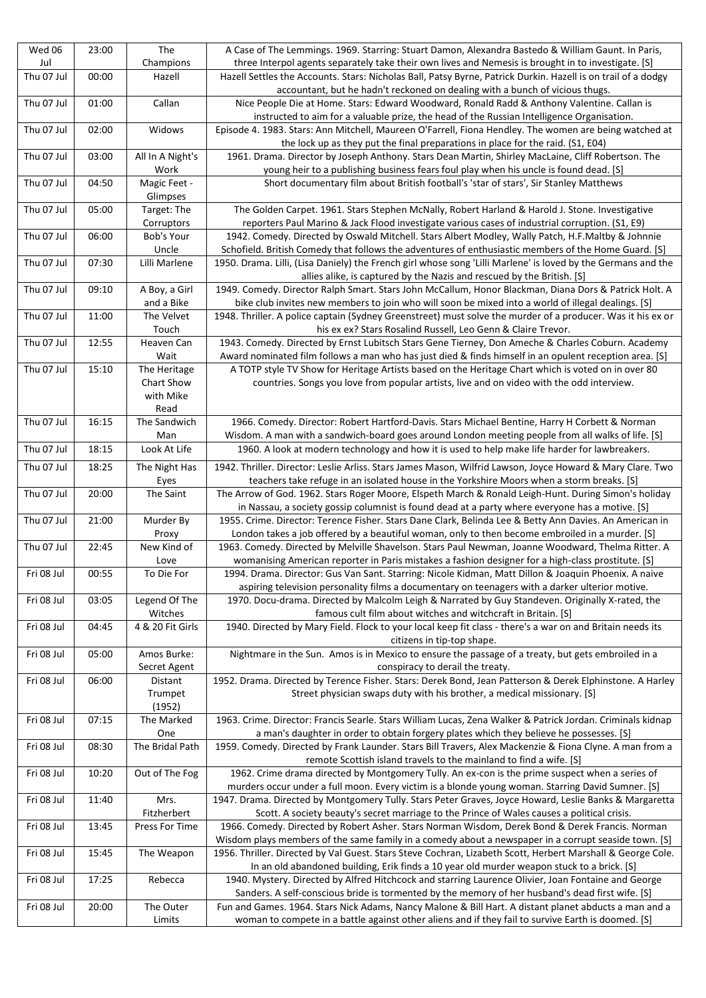| Jul<br>three Interpol agents separately take their own lives and Nemesis is brought in to investigate. [S]<br>Champions<br>00:00<br>Thu 07 Jul<br>Hazell Settles the Accounts. Stars: Nicholas Ball, Patsy Byrne, Patrick Durkin. Hazell is on trail of a dodgy<br>Hazell<br>accountant, but he hadn't reckoned on dealing with a bunch of vicious thugs.<br>Thu 07 Jul<br>Callan<br>01:00<br>Nice People Die at Home. Stars: Edward Woodward, Ronald Radd & Anthony Valentine. Callan is<br>instructed to aim for a valuable prize, the head of the Russian Intelligence Organisation.<br>Thu 07 Jul<br>Widows<br>02:00<br>Episode 4. 1983. Stars: Ann Mitchell, Maureen O'Farrell, Fiona Hendley. The women are being watched at<br>the lock up as they put the final preparations in place for the raid. (S1, E04)<br>Thu 07 Jul<br>All In A Night's<br>1961. Drama. Director by Joseph Anthony. Stars Dean Martin, Shirley MacLaine, Cliff Robertson. The<br>03:00<br>young heir to a publishing business fears foul play when his uncle is found dead. [S]<br>Work<br>Thu 07 Jul<br>04:50<br>Magic Feet -<br>Short documentary film about British football's 'star of stars', Sir Stanley Matthews<br>Glimpses<br>Thu 07 Jul<br>05:00<br>Target: The<br>The Golden Carpet. 1961. Stars Stephen McNally, Robert Harland & Harold J. Stone. Investigative<br>Corruptors<br>reporters Paul Marino & Jack Flood investigate various cases of industrial corruption. (S1, E9)<br>06:00<br>1942. Comedy. Directed by Oswald Mitchell. Stars Albert Modley, Wally Patch, H.F.Maltby & Johnnie<br>Thu 07 Jul<br>Bob's Your<br>Uncle<br>Schofield. British Comedy that follows the adventures of enthusiastic members of the Home Guard. [S]<br>07:30<br>Thu 07 Jul<br>Lilli Marlene<br>1950. Drama. Lilli, (Lisa Daniely) the French girl whose song 'Lilli Marlene' is loved by the Germans and the<br>allies alike, is captured by the Nazis and rescued by the British. [S]<br>Thu 07 Jul<br>09:10<br>A Boy, a Girl<br>1949. Comedy. Director Ralph Smart. Stars John McCallum, Honor Blackman, Diana Dors & Patrick Holt. A<br>and a Bike<br>bike club invites new members to join who will soon be mixed into a world of illegal dealings. [S]<br>Thu 07 Jul<br>11:00<br>The Velvet<br>1948. Thriller. A police captain (Sydney Greenstreet) must solve the murder of a producer. Was it his ex or<br>Touch<br>his ex ex? Stars Rosalind Russell, Leo Genn & Claire Trevor.<br>Thu 07 Jul<br>12:55<br>1943. Comedy. Directed by Ernst Lubitsch Stars Gene Tierney, Don Ameche & Charles Coburn. Academy<br>Heaven Can |                                                                                                   |
|-------------------------------------------------------------------------------------------------------------------------------------------------------------------------------------------------------------------------------------------------------------------------------------------------------------------------------------------------------------------------------------------------------------------------------------------------------------------------------------------------------------------------------------------------------------------------------------------------------------------------------------------------------------------------------------------------------------------------------------------------------------------------------------------------------------------------------------------------------------------------------------------------------------------------------------------------------------------------------------------------------------------------------------------------------------------------------------------------------------------------------------------------------------------------------------------------------------------------------------------------------------------------------------------------------------------------------------------------------------------------------------------------------------------------------------------------------------------------------------------------------------------------------------------------------------------------------------------------------------------------------------------------------------------------------------------------------------------------------------------------------------------------------------------------------------------------------------------------------------------------------------------------------------------------------------------------------------------------------------------------------------------------------------------------------------------------------------------------------------------------------------------------------------------------------------------------------------------------------------------------------------------------------------------------------------------------------------------------------------------------------------------------------------------------------------------------------------------------------------------------------------------------------------------------------------------------------------------------------------------------|---------------------------------------------------------------------------------------------------|
|                                                                                                                                                                                                                                                                                                                                                                                                                                                                                                                                                                                                                                                                                                                                                                                                                                                                                                                                                                                                                                                                                                                                                                                                                                                                                                                                                                                                                                                                                                                                                                                                                                                                                                                                                                                                                                                                                                                                                                                                                                                                                                                                                                                                                                                                                                                                                                                                                                                                                                                                                                                                                         |                                                                                                   |
|                                                                                                                                                                                                                                                                                                                                                                                                                                                                                                                                                                                                                                                                                                                                                                                                                                                                                                                                                                                                                                                                                                                                                                                                                                                                                                                                                                                                                                                                                                                                                                                                                                                                                                                                                                                                                                                                                                                                                                                                                                                                                                                                                                                                                                                                                                                                                                                                                                                                                                                                                                                                                         |                                                                                                   |
|                                                                                                                                                                                                                                                                                                                                                                                                                                                                                                                                                                                                                                                                                                                                                                                                                                                                                                                                                                                                                                                                                                                                                                                                                                                                                                                                                                                                                                                                                                                                                                                                                                                                                                                                                                                                                                                                                                                                                                                                                                                                                                                                                                                                                                                                                                                                                                                                                                                                                                                                                                                                                         |                                                                                                   |
|                                                                                                                                                                                                                                                                                                                                                                                                                                                                                                                                                                                                                                                                                                                                                                                                                                                                                                                                                                                                                                                                                                                                                                                                                                                                                                                                                                                                                                                                                                                                                                                                                                                                                                                                                                                                                                                                                                                                                                                                                                                                                                                                                                                                                                                                                                                                                                                                                                                                                                                                                                                                                         |                                                                                                   |
|                                                                                                                                                                                                                                                                                                                                                                                                                                                                                                                                                                                                                                                                                                                                                                                                                                                                                                                                                                                                                                                                                                                                                                                                                                                                                                                                                                                                                                                                                                                                                                                                                                                                                                                                                                                                                                                                                                                                                                                                                                                                                                                                                                                                                                                                                                                                                                                                                                                                                                                                                                                                                         |                                                                                                   |
|                                                                                                                                                                                                                                                                                                                                                                                                                                                                                                                                                                                                                                                                                                                                                                                                                                                                                                                                                                                                                                                                                                                                                                                                                                                                                                                                                                                                                                                                                                                                                                                                                                                                                                                                                                                                                                                                                                                                                                                                                                                                                                                                                                                                                                                                                                                                                                                                                                                                                                                                                                                                                         |                                                                                                   |
|                                                                                                                                                                                                                                                                                                                                                                                                                                                                                                                                                                                                                                                                                                                                                                                                                                                                                                                                                                                                                                                                                                                                                                                                                                                                                                                                                                                                                                                                                                                                                                                                                                                                                                                                                                                                                                                                                                                                                                                                                                                                                                                                                                                                                                                                                                                                                                                                                                                                                                                                                                                                                         |                                                                                                   |
|                                                                                                                                                                                                                                                                                                                                                                                                                                                                                                                                                                                                                                                                                                                                                                                                                                                                                                                                                                                                                                                                                                                                                                                                                                                                                                                                                                                                                                                                                                                                                                                                                                                                                                                                                                                                                                                                                                                                                                                                                                                                                                                                                                                                                                                                                                                                                                                                                                                                                                                                                                                                                         |                                                                                                   |
|                                                                                                                                                                                                                                                                                                                                                                                                                                                                                                                                                                                                                                                                                                                                                                                                                                                                                                                                                                                                                                                                                                                                                                                                                                                                                                                                                                                                                                                                                                                                                                                                                                                                                                                                                                                                                                                                                                                                                                                                                                                                                                                                                                                                                                                                                                                                                                                                                                                                                                                                                                                                                         |                                                                                                   |
|                                                                                                                                                                                                                                                                                                                                                                                                                                                                                                                                                                                                                                                                                                                                                                                                                                                                                                                                                                                                                                                                                                                                                                                                                                                                                                                                                                                                                                                                                                                                                                                                                                                                                                                                                                                                                                                                                                                                                                                                                                                                                                                                                                                                                                                                                                                                                                                                                                                                                                                                                                                                                         |                                                                                                   |
|                                                                                                                                                                                                                                                                                                                                                                                                                                                                                                                                                                                                                                                                                                                                                                                                                                                                                                                                                                                                                                                                                                                                                                                                                                                                                                                                                                                                                                                                                                                                                                                                                                                                                                                                                                                                                                                                                                                                                                                                                                                                                                                                                                                                                                                                                                                                                                                                                                                                                                                                                                                                                         |                                                                                                   |
|                                                                                                                                                                                                                                                                                                                                                                                                                                                                                                                                                                                                                                                                                                                                                                                                                                                                                                                                                                                                                                                                                                                                                                                                                                                                                                                                                                                                                                                                                                                                                                                                                                                                                                                                                                                                                                                                                                                                                                                                                                                                                                                                                                                                                                                                                                                                                                                                                                                                                                                                                                                                                         |                                                                                                   |
|                                                                                                                                                                                                                                                                                                                                                                                                                                                                                                                                                                                                                                                                                                                                                                                                                                                                                                                                                                                                                                                                                                                                                                                                                                                                                                                                                                                                                                                                                                                                                                                                                                                                                                                                                                                                                                                                                                                                                                                                                                                                                                                                                                                                                                                                                                                                                                                                                                                                                                                                                                                                                         |                                                                                                   |
|                                                                                                                                                                                                                                                                                                                                                                                                                                                                                                                                                                                                                                                                                                                                                                                                                                                                                                                                                                                                                                                                                                                                                                                                                                                                                                                                                                                                                                                                                                                                                                                                                                                                                                                                                                                                                                                                                                                                                                                                                                                                                                                                                                                                                                                                                                                                                                                                                                                                                                                                                                                                                         |                                                                                                   |
|                                                                                                                                                                                                                                                                                                                                                                                                                                                                                                                                                                                                                                                                                                                                                                                                                                                                                                                                                                                                                                                                                                                                                                                                                                                                                                                                                                                                                                                                                                                                                                                                                                                                                                                                                                                                                                                                                                                                                                                                                                                                                                                                                                                                                                                                                                                                                                                                                                                                                                                                                                                                                         |                                                                                                   |
|                                                                                                                                                                                                                                                                                                                                                                                                                                                                                                                                                                                                                                                                                                                                                                                                                                                                                                                                                                                                                                                                                                                                                                                                                                                                                                                                                                                                                                                                                                                                                                                                                                                                                                                                                                                                                                                                                                                                                                                                                                                                                                                                                                                                                                                                                                                                                                                                                                                                                                                                                                                                                         |                                                                                                   |
|                                                                                                                                                                                                                                                                                                                                                                                                                                                                                                                                                                                                                                                                                                                                                                                                                                                                                                                                                                                                                                                                                                                                                                                                                                                                                                                                                                                                                                                                                                                                                                                                                                                                                                                                                                                                                                                                                                                                                                                                                                                                                                                                                                                                                                                                                                                                                                                                                                                                                                                                                                                                                         |                                                                                                   |
|                                                                                                                                                                                                                                                                                                                                                                                                                                                                                                                                                                                                                                                                                                                                                                                                                                                                                                                                                                                                                                                                                                                                                                                                                                                                                                                                                                                                                                                                                                                                                                                                                                                                                                                                                                                                                                                                                                                                                                                                                                                                                                                                                                                                                                                                                                                                                                                                                                                                                                                                                                                                                         |                                                                                                   |
|                                                                                                                                                                                                                                                                                                                                                                                                                                                                                                                                                                                                                                                                                                                                                                                                                                                                                                                                                                                                                                                                                                                                                                                                                                                                                                                                                                                                                                                                                                                                                                                                                                                                                                                                                                                                                                                                                                                                                                                                                                                                                                                                                                                                                                                                                                                                                                                                                                                                                                                                                                                                                         |                                                                                                   |
|                                                                                                                                                                                                                                                                                                                                                                                                                                                                                                                                                                                                                                                                                                                                                                                                                                                                                                                                                                                                                                                                                                                                                                                                                                                                                                                                                                                                                                                                                                                                                                                                                                                                                                                                                                                                                                                                                                                                                                                                                                                                                                                                                                                                                                                                                                                                                                                                                                                                                                                                                                                                                         |                                                                                                   |
|                                                                                                                                                                                                                                                                                                                                                                                                                                                                                                                                                                                                                                                                                                                                                                                                                                                                                                                                                                                                                                                                                                                                                                                                                                                                                                                                                                                                                                                                                                                                                                                                                                                                                                                                                                                                                                                                                                                                                                                                                                                                                                                                                                                                                                                                                                                                                                                                                                                                                                                                                                                                                         |                                                                                                   |
| Wait<br>Award nominated film follows a man who has just died & finds himself in an opulent reception area. [S]                                                                                                                                                                                                                                                                                                                                                                                                                                                                                                                                                                                                                                                                                                                                                                                                                                                                                                                                                                                                                                                                                                                                                                                                                                                                                                                                                                                                                                                                                                                                                                                                                                                                                                                                                                                                                                                                                                                                                                                                                                                                                                                                                                                                                                                                                                                                                                                                                                                                                                          |                                                                                                   |
| Thu 07 Jul<br>15:10<br>A TOTP style TV Show for Heritage Artists based on the Heritage Chart which is voted on in over 80<br>The Heritage                                                                                                                                                                                                                                                                                                                                                                                                                                                                                                                                                                                                                                                                                                                                                                                                                                                                                                                                                                                                                                                                                                                                                                                                                                                                                                                                                                                                                                                                                                                                                                                                                                                                                                                                                                                                                                                                                                                                                                                                                                                                                                                                                                                                                                                                                                                                                                                                                                                                               |                                                                                                   |
| Chart Show                                                                                                                                                                                                                                                                                                                                                                                                                                                                                                                                                                                                                                                                                                                                                                                                                                                                                                                                                                                                                                                                                                                                                                                                                                                                                                                                                                                                                                                                                                                                                                                                                                                                                                                                                                                                                                                                                                                                                                                                                                                                                                                                                                                                                                                                                                                                                                                                                                                                                                                                                                                                              |                                                                                                   |
| with Mike                                                                                                                                                                                                                                                                                                                                                                                                                                                                                                                                                                                                                                                                                                                                                                                                                                                                                                                                                                                                                                                                                                                                                                                                                                                                                                                                                                                                                                                                                                                                                                                                                                                                                                                                                                                                                                                                                                                                                                                                                                                                                                                                                                                                                                                                                                                                                                                                                                                                                                                                                                                                               |                                                                                                   |
| Read                                                                                                                                                                                                                                                                                                                                                                                                                                                                                                                                                                                                                                                                                                                                                                                                                                                                                                                                                                                                                                                                                                                                                                                                                                                                                                                                                                                                                                                                                                                                                                                                                                                                                                                                                                                                                                                                                                                                                                                                                                                                                                                                                                                                                                                                                                                                                                                                                                                                                                                                                                                                                    | countries. Songs you love from popular artists, live and on video with the odd interview.         |
| Thu 07 Jul<br>16:15<br>The Sandwich                                                                                                                                                                                                                                                                                                                                                                                                                                                                                                                                                                                                                                                                                                                                                                                                                                                                                                                                                                                                                                                                                                                                                                                                                                                                                                                                                                                                                                                                                                                                                                                                                                                                                                                                                                                                                                                                                                                                                                                                                                                                                                                                                                                                                                                                                                                                                                                                                                                                                                                                                                                     |                                                                                                   |
| Man                                                                                                                                                                                                                                                                                                                                                                                                                                                                                                                                                                                                                                                                                                                                                                                                                                                                                                                                                                                                                                                                                                                                                                                                                                                                                                                                                                                                                                                                                                                                                                                                                                                                                                                                                                                                                                                                                                                                                                                                                                                                                                                                                                                                                                                                                                                                                                                                                                                                                                                                                                                                                     |                                                                                                   |
| Thu 07 Jul<br>18:15<br>Look At Life                                                                                                                                                                                                                                                                                                                                                                                                                                                                                                                                                                                                                                                                                                                                                                                                                                                                                                                                                                                                                                                                                                                                                                                                                                                                                                                                                                                                                                                                                                                                                                                                                                                                                                                                                                                                                                                                                                                                                                                                                                                                                                                                                                                                                                                                                                                                                                                                                                                                                                                                                                                     | 1966. Comedy. Director: Robert Hartford-Davis. Stars Michael Bentine, Harry H Corbett & Norman    |
|                                                                                                                                                                                                                                                                                                                                                                                                                                                                                                                                                                                                                                                                                                                                                                                                                                                                                                                                                                                                                                                                                                                                                                                                                                                                                                                                                                                                                                                                                                                                                                                                                                                                                                                                                                                                                                                                                                                                                                                                                                                                                                                                                                                                                                                                                                                                                                                                                                                                                                                                                                                                                         | Wisdom. A man with a sandwich-board goes around London meeting people from all walks of life. [S] |
|                                                                                                                                                                                                                                                                                                                                                                                                                                                                                                                                                                                                                                                                                                                                                                                                                                                                                                                                                                                                                                                                                                                                                                                                                                                                                                                                                                                                                                                                                                                                                                                                                                                                                                                                                                                                                                                                                                                                                                                                                                                                                                                                                                                                                                                                                                                                                                                                                                                                                                                                                                                                                         | 1960. A look at modern technology and how it is used to help make life harder for lawbreakers.    |
| Thu 07 Jul<br>18:25<br>1942. Thriller. Director: Leslie Arliss. Stars James Mason, Wilfrid Lawson, Joyce Howard & Mary Clare. Two<br>The Night Has                                                                                                                                                                                                                                                                                                                                                                                                                                                                                                                                                                                                                                                                                                                                                                                                                                                                                                                                                                                                                                                                                                                                                                                                                                                                                                                                                                                                                                                                                                                                                                                                                                                                                                                                                                                                                                                                                                                                                                                                                                                                                                                                                                                                                                                                                                                                                                                                                                                                      |                                                                                                   |
| teachers take refuge in an isolated house in the Yorkshire Moors when a storm breaks. [S]<br>Eyes                                                                                                                                                                                                                                                                                                                                                                                                                                                                                                                                                                                                                                                                                                                                                                                                                                                                                                                                                                                                                                                                                                                                                                                                                                                                                                                                                                                                                                                                                                                                                                                                                                                                                                                                                                                                                                                                                                                                                                                                                                                                                                                                                                                                                                                                                                                                                                                                                                                                                                                       |                                                                                                   |
| Thu 07 Jul<br>The Arrow of God. 1962. Stars Roger Moore, Elspeth March & Ronald Leigh-Hunt. During Simon's holiday<br>20:00<br>The Saint                                                                                                                                                                                                                                                                                                                                                                                                                                                                                                                                                                                                                                                                                                                                                                                                                                                                                                                                                                                                                                                                                                                                                                                                                                                                                                                                                                                                                                                                                                                                                                                                                                                                                                                                                                                                                                                                                                                                                                                                                                                                                                                                                                                                                                                                                                                                                                                                                                                                                |                                                                                                   |
| in Nassau, a society gossip columnist is found dead at a party where everyone has a motive. [S]                                                                                                                                                                                                                                                                                                                                                                                                                                                                                                                                                                                                                                                                                                                                                                                                                                                                                                                                                                                                                                                                                                                                                                                                                                                                                                                                                                                                                                                                                                                                                                                                                                                                                                                                                                                                                                                                                                                                                                                                                                                                                                                                                                                                                                                                                                                                                                                                                                                                                                                         |                                                                                                   |
| Thu 07 Jul<br>21:00<br>Murder By<br>1955. Crime. Director: Terence Fisher. Stars Dane Clark, Belinda Lee & Betty Ann Davies. An American in                                                                                                                                                                                                                                                                                                                                                                                                                                                                                                                                                                                                                                                                                                                                                                                                                                                                                                                                                                                                                                                                                                                                                                                                                                                                                                                                                                                                                                                                                                                                                                                                                                                                                                                                                                                                                                                                                                                                                                                                                                                                                                                                                                                                                                                                                                                                                                                                                                                                             |                                                                                                   |
| London takes a job offered by a beautiful woman, only to then become embroiled in a murder. [S]<br>Proxy                                                                                                                                                                                                                                                                                                                                                                                                                                                                                                                                                                                                                                                                                                                                                                                                                                                                                                                                                                                                                                                                                                                                                                                                                                                                                                                                                                                                                                                                                                                                                                                                                                                                                                                                                                                                                                                                                                                                                                                                                                                                                                                                                                                                                                                                                                                                                                                                                                                                                                                |                                                                                                   |
| Thu 07 Jul<br>22:45<br>New Kind of<br>1963. Comedy. Directed by Melville Shavelson. Stars Paul Newman, Joanne Woodward, Thelma Ritter. A<br>Love                                                                                                                                                                                                                                                                                                                                                                                                                                                                                                                                                                                                                                                                                                                                                                                                                                                                                                                                                                                                                                                                                                                                                                                                                                                                                                                                                                                                                                                                                                                                                                                                                                                                                                                                                                                                                                                                                                                                                                                                                                                                                                                                                                                                                                                                                                                                                                                                                                                                        |                                                                                                   |
| womanising American reporter in Paris mistakes a fashion designer for a high-class prostitute. [S]<br>Fri 08 Jul<br>00:55<br>To Die For<br>1994. Drama. Director: Gus Van Sant. Starring: Nicole Kidman, Matt Dillon & Joaquin Phoenix. A naive                                                                                                                                                                                                                                                                                                                                                                                                                                                                                                                                                                                                                                                                                                                                                                                                                                                                                                                                                                                                                                                                                                                                                                                                                                                                                                                                                                                                                                                                                                                                                                                                                                                                                                                                                                                                                                                                                                                                                                                                                                                                                                                                                                                                                                                                                                                                                                         |                                                                                                   |
| aspiring television personality films a documentary on teenagers with a darker ulterior motive.                                                                                                                                                                                                                                                                                                                                                                                                                                                                                                                                                                                                                                                                                                                                                                                                                                                                                                                                                                                                                                                                                                                                                                                                                                                                                                                                                                                                                                                                                                                                                                                                                                                                                                                                                                                                                                                                                                                                                                                                                                                                                                                                                                                                                                                                                                                                                                                                                                                                                                                         |                                                                                                   |
| 1970. Docu-drama. Directed by Malcolm Leigh & Narrated by Guy Standeven. Originally X-rated, the<br>Fri 08 Jul<br>03:05<br>Legend Of The                                                                                                                                                                                                                                                                                                                                                                                                                                                                                                                                                                                                                                                                                                                                                                                                                                                                                                                                                                                                                                                                                                                                                                                                                                                                                                                                                                                                                                                                                                                                                                                                                                                                                                                                                                                                                                                                                                                                                                                                                                                                                                                                                                                                                                                                                                                                                                                                                                                                                |                                                                                                   |
| Witches<br>famous cult film about witches and witchcraft in Britain. [S]                                                                                                                                                                                                                                                                                                                                                                                                                                                                                                                                                                                                                                                                                                                                                                                                                                                                                                                                                                                                                                                                                                                                                                                                                                                                                                                                                                                                                                                                                                                                                                                                                                                                                                                                                                                                                                                                                                                                                                                                                                                                                                                                                                                                                                                                                                                                                                                                                                                                                                                                                |                                                                                                   |
| 4 & 20 Fit Girls<br>1940. Directed by Mary Field. Flock to your local keep fit class - there's a war on and Britain needs its<br>Fri 08 Jul<br>04:45                                                                                                                                                                                                                                                                                                                                                                                                                                                                                                                                                                                                                                                                                                                                                                                                                                                                                                                                                                                                                                                                                                                                                                                                                                                                                                                                                                                                                                                                                                                                                                                                                                                                                                                                                                                                                                                                                                                                                                                                                                                                                                                                                                                                                                                                                                                                                                                                                                                                    |                                                                                                   |
| citizens in tip-top shape.                                                                                                                                                                                                                                                                                                                                                                                                                                                                                                                                                                                                                                                                                                                                                                                                                                                                                                                                                                                                                                                                                                                                                                                                                                                                                                                                                                                                                                                                                                                                                                                                                                                                                                                                                                                                                                                                                                                                                                                                                                                                                                                                                                                                                                                                                                                                                                                                                                                                                                                                                                                              |                                                                                                   |
| 05:00<br>Nightmare in the Sun. Amos is in Mexico to ensure the passage of a treaty, but gets embroiled in a<br>Fri 08 Jul<br>Amos Burke:                                                                                                                                                                                                                                                                                                                                                                                                                                                                                                                                                                                                                                                                                                                                                                                                                                                                                                                                                                                                                                                                                                                                                                                                                                                                                                                                                                                                                                                                                                                                                                                                                                                                                                                                                                                                                                                                                                                                                                                                                                                                                                                                                                                                                                                                                                                                                                                                                                                                                |                                                                                                   |
| Secret Agent<br>conspiracy to derail the treaty.                                                                                                                                                                                                                                                                                                                                                                                                                                                                                                                                                                                                                                                                                                                                                                                                                                                                                                                                                                                                                                                                                                                                                                                                                                                                                                                                                                                                                                                                                                                                                                                                                                                                                                                                                                                                                                                                                                                                                                                                                                                                                                                                                                                                                                                                                                                                                                                                                                                                                                                                                                        |                                                                                                   |
| 06:00<br>1952. Drama. Directed by Terence Fisher. Stars: Derek Bond, Jean Patterson & Derek Elphinstone. A Harley<br>Fri 08 Jul<br>Distant                                                                                                                                                                                                                                                                                                                                                                                                                                                                                                                                                                                                                                                                                                                                                                                                                                                                                                                                                                                                                                                                                                                                                                                                                                                                                                                                                                                                                                                                                                                                                                                                                                                                                                                                                                                                                                                                                                                                                                                                                                                                                                                                                                                                                                                                                                                                                                                                                                                                              |                                                                                                   |
| Street physician swaps duty with his brother, a medical missionary. [S]<br>Trumpet                                                                                                                                                                                                                                                                                                                                                                                                                                                                                                                                                                                                                                                                                                                                                                                                                                                                                                                                                                                                                                                                                                                                                                                                                                                                                                                                                                                                                                                                                                                                                                                                                                                                                                                                                                                                                                                                                                                                                                                                                                                                                                                                                                                                                                                                                                                                                                                                                                                                                                                                      |                                                                                                   |
| (1952)                                                                                                                                                                                                                                                                                                                                                                                                                                                                                                                                                                                                                                                                                                                                                                                                                                                                                                                                                                                                                                                                                                                                                                                                                                                                                                                                                                                                                                                                                                                                                                                                                                                                                                                                                                                                                                                                                                                                                                                                                                                                                                                                                                                                                                                                                                                                                                                                                                                                                                                                                                                                                  |                                                                                                   |
| 07:15<br>1963. Crime. Director: Francis Searle. Stars William Lucas, Zena Walker & Patrick Jordan. Criminals kidnap<br>Fri 08 Jul<br>The Marked                                                                                                                                                                                                                                                                                                                                                                                                                                                                                                                                                                                                                                                                                                                                                                                                                                                                                                                                                                                                                                                                                                                                                                                                                                                                                                                                                                                                                                                                                                                                                                                                                                                                                                                                                                                                                                                                                                                                                                                                                                                                                                                                                                                                                                                                                                                                                                                                                                                                         |                                                                                                   |
| a man's daughter in order to obtain forgery plates which they believe he possesses. [S]<br>One                                                                                                                                                                                                                                                                                                                                                                                                                                                                                                                                                                                                                                                                                                                                                                                                                                                                                                                                                                                                                                                                                                                                                                                                                                                                                                                                                                                                                                                                                                                                                                                                                                                                                                                                                                                                                                                                                                                                                                                                                                                                                                                                                                                                                                                                                                                                                                                                                                                                                                                          |                                                                                                   |
| 1959. Comedy. Directed by Frank Launder. Stars Bill Travers, Alex Mackenzie & Fiona Clyne. A man from a<br>Fri 08 Jul<br>08:30<br>The Bridal Path                                                                                                                                                                                                                                                                                                                                                                                                                                                                                                                                                                                                                                                                                                                                                                                                                                                                                                                                                                                                                                                                                                                                                                                                                                                                                                                                                                                                                                                                                                                                                                                                                                                                                                                                                                                                                                                                                                                                                                                                                                                                                                                                                                                                                                                                                                                                                                                                                                                                       |                                                                                                   |
| remote Scottish island travels to the mainland to find a wife. [S]                                                                                                                                                                                                                                                                                                                                                                                                                                                                                                                                                                                                                                                                                                                                                                                                                                                                                                                                                                                                                                                                                                                                                                                                                                                                                                                                                                                                                                                                                                                                                                                                                                                                                                                                                                                                                                                                                                                                                                                                                                                                                                                                                                                                                                                                                                                                                                                                                                                                                                                                                      |                                                                                                   |
| 10:20<br>1962. Crime drama directed by Montgomery Tully. An ex-con is the prime suspect when a series of<br>Fri 08 Jul<br>Out of The Fog                                                                                                                                                                                                                                                                                                                                                                                                                                                                                                                                                                                                                                                                                                                                                                                                                                                                                                                                                                                                                                                                                                                                                                                                                                                                                                                                                                                                                                                                                                                                                                                                                                                                                                                                                                                                                                                                                                                                                                                                                                                                                                                                                                                                                                                                                                                                                                                                                                                                                |                                                                                                   |
| murders occur under a full moon. Every victim is a blonde young woman. Starring David Sumner. [S]                                                                                                                                                                                                                                                                                                                                                                                                                                                                                                                                                                                                                                                                                                                                                                                                                                                                                                                                                                                                                                                                                                                                                                                                                                                                                                                                                                                                                                                                                                                                                                                                                                                                                                                                                                                                                                                                                                                                                                                                                                                                                                                                                                                                                                                                                                                                                                                                                                                                                                                       |                                                                                                   |
| 1947. Drama. Directed by Montgomery Tully. Stars Peter Graves, Joyce Howard, Leslie Banks & Margaretta<br>Fri 08 Jul<br>11:40<br>Mrs.                                                                                                                                                                                                                                                                                                                                                                                                                                                                                                                                                                                                                                                                                                                                                                                                                                                                                                                                                                                                                                                                                                                                                                                                                                                                                                                                                                                                                                                                                                                                                                                                                                                                                                                                                                                                                                                                                                                                                                                                                                                                                                                                                                                                                                                                                                                                                                                                                                                                                   |                                                                                                   |
| Fitzherbert<br>Scott. A society beauty's secret marriage to the Prince of Wales causes a political crisis.                                                                                                                                                                                                                                                                                                                                                                                                                                                                                                                                                                                                                                                                                                                                                                                                                                                                                                                                                                                                                                                                                                                                                                                                                                                                                                                                                                                                                                                                                                                                                                                                                                                                                                                                                                                                                                                                                                                                                                                                                                                                                                                                                                                                                                                                                                                                                                                                                                                                                                              |                                                                                                   |
| 1966. Comedy. Directed by Robert Asher. Stars Norman Wisdom, Derek Bond & Derek Francis. Norman<br>Fri 08 Jul<br>13:45<br>Press For Time                                                                                                                                                                                                                                                                                                                                                                                                                                                                                                                                                                                                                                                                                                                                                                                                                                                                                                                                                                                                                                                                                                                                                                                                                                                                                                                                                                                                                                                                                                                                                                                                                                                                                                                                                                                                                                                                                                                                                                                                                                                                                                                                                                                                                                                                                                                                                                                                                                                                                |                                                                                                   |
| Wisdom plays members of the same family in a comedy about a newspaper in a corrupt seaside town. [S]                                                                                                                                                                                                                                                                                                                                                                                                                                                                                                                                                                                                                                                                                                                                                                                                                                                                                                                                                                                                                                                                                                                                                                                                                                                                                                                                                                                                                                                                                                                                                                                                                                                                                                                                                                                                                                                                                                                                                                                                                                                                                                                                                                                                                                                                                                                                                                                                                                                                                                                    |                                                                                                   |
| 15:45<br>Fri 08 Jul<br>The Weapon<br>1956. Thriller. Directed by Val Guest. Stars Steve Cochran, Lizabeth Scott, Herbert Marshall & George Cole.                                                                                                                                                                                                                                                                                                                                                                                                                                                                                                                                                                                                                                                                                                                                                                                                                                                                                                                                                                                                                                                                                                                                                                                                                                                                                                                                                                                                                                                                                                                                                                                                                                                                                                                                                                                                                                                                                                                                                                                                                                                                                                                                                                                                                                                                                                                                                                                                                                                                        |                                                                                                   |
| In an old abandoned building, Erik finds a 10 year old murder weapon stuck to a brick. [S]                                                                                                                                                                                                                                                                                                                                                                                                                                                                                                                                                                                                                                                                                                                                                                                                                                                                                                                                                                                                                                                                                                                                                                                                                                                                                                                                                                                                                                                                                                                                                                                                                                                                                                                                                                                                                                                                                                                                                                                                                                                                                                                                                                                                                                                                                                                                                                                                                                                                                                                              |                                                                                                   |
| 17:25<br>Fri 08 Jul<br>1940. Mystery. Directed by Alfred Hitchcock and starring Laurence Olivier, Joan Fontaine and George<br>Rebecca                                                                                                                                                                                                                                                                                                                                                                                                                                                                                                                                                                                                                                                                                                                                                                                                                                                                                                                                                                                                                                                                                                                                                                                                                                                                                                                                                                                                                                                                                                                                                                                                                                                                                                                                                                                                                                                                                                                                                                                                                                                                                                                                                                                                                                                                                                                                                                                                                                                                                   |                                                                                                   |
| Sanders. A self-conscious bride is tormented by the memory of her husband's dead first wife. [S]<br>The Outer<br>Fri 08 Jul<br>20:00<br>Fun and Games. 1964. Stars Nick Adams, Nancy Malone & Bill Hart. A distant planet abducts a man and a                                                                                                                                                                                                                                                                                                                                                                                                                                                                                                                                                                                                                                                                                                                                                                                                                                                                                                                                                                                                                                                                                                                                                                                                                                                                                                                                                                                                                                                                                                                                                                                                                                                                                                                                                                                                                                                                                                                                                                                                                                                                                                                                                                                                                                                                                                                                                                           |                                                                                                   |
|                                                                                                                                                                                                                                                                                                                                                                                                                                                                                                                                                                                                                                                                                                                                                                                                                                                                                                                                                                                                                                                                                                                                                                                                                                                                                                                                                                                                                                                                                                                                                                                                                                                                                                                                                                                                                                                                                                                                                                                                                                                                                                                                                                                                                                                                                                                                                                                                                                                                                                                                                                                                                         |                                                                                                   |
|                                                                                                                                                                                                                                                                                                                                                                                                                                                                                                                                                                                                                                                                                                                                                                                                                                                                                                                                                                                                                                                                                                                                                                                                                                                                                                                                                                                                                                                                                                                                                                                                                                                                                                                                                                                                                                                                                                                                                                                                                                                                                                                                                                                                                                                                                                                                                                                                                                                                                                                                                                                                                         |                                                                                                   |
|                                                                                                                                                                                                                                                                                                                                                                                                                                                                                                                                                                                                                                                                                                                                                                                                                                                                                                                                                                                                                                                                                                                                                                                                                                                                                                                                                                                                                                                                                                                                                                                                                                                                                                                                                                                                                                                                                                                                                                                                                                                                                                                                                                                                                                                                                                                                                                                                                                                                                                                                                                                                                         |                                                                                                   |
|                                                                                                                                                                                                                                                                                                                                                                                                                                                                                                                                                                                                                                                                                                                                                                                                                                                                                                                                                                                                                                                                                                                                                                                                                                                                                                                                                                                                                                                                                                                                                                                                                                                                                                                                                                                                                                                                                                                                                                                                                                                                                                                                                                                                                                                                                                                                                                                                                                                                                                                                                                                                                         |                                                                                                   |
|                                                                                                                                                                                                                                                                                                                                                                                                                                                                                                                                                                                                                                                                                                                                                                                                                                                                                                                                                                                                                                                                                                                                                                                                                                                                                                                                                                                                                                                                                                                                                                                                                                                                                                                                                                                                                                                                                                                                                                                                                                                                                                                                                                                                                                                                                                                                                                                                                                                                                                                                                                                                                         |                                                                                                   |
|                                                                                                                                                                                                                                                                                                                                                                                                                                                                                                                                                                                                                                                                                                                                                                                                                                                                                                                                                                                                                                                                                                                                                                                                                                                                                                                                                                                                                                                                                                                                                                                                                                                                                                                                                                                                                                                                                                                                                                                                                                                                                                                                                                                                                                                                                                                                                                                                                                                                                                                                                                                                                         |                                                                                                   |
|                                                                                                                                                                                                                                                                                                                                                                                                                                                                                                                                                                                                                                                                                                                                                                                                                                                                                                                                                                                                                                                                                                                                                                                                                                                                                                                                                                                                                                                                                                                                                                                                                                                                                                                                                                                                                                                                                                                                                                                                                                                                                                                                                                                                                                                                                                                                                                                                                                                                                                                                                                                                                         |                                                                                                   |
|                                                                                                                                                                                                                                                                                                                                                                                                                                                                                                                                                                                                                                                                                                                                                                                                                                                                                                                                                                                                                                                                                                                                                                                                                                                                                                                                                                                                                                                                                                                                                                                                                                                                                                                                                                                                                                                                                                                                                                                                                                                                                                                                                                                                                                                                                                                                                                                                                                                                                                                                                                                                                         |                                                                                                   |
|                                                                                                                                                                                                                                                                                                                                                                                                                                                                                                                                                                                                                                                                                                                                                                                                                                                                                                                                                                                                                                                                                                                                                                                                                                                                                                                                                                                                                                                                                                                                                                                                                                                                                                                                                                                                                                                                                                                                                                                                                                                                                                                                                                                                                                                                                                                                                                                                                                                                                                                                                                                                                         |                                                                                                   |
|                                                                                                                                                                                                                                                                                                                                                                                                                                                                                                                                                                                                                                                                                                                                                                                                                                                                                                                                                                                                                                                                                                                                                                                                                                                                                                                                                                                                                                                                                                                                                                                                                                                                                                                                                                                                                                                                                                                                                                                                                                                                                                                                                                                                                                                                                                                                                                                                                                                                                                                                                                                                                         |                                                                                                   |
|                                                                                                                                                                                                                                                                                                                                                                                                                                                                                                                                                                                                                                                                                                                                                                                                                                                                                                                                                                                                                                                                                                                                                                                                                                                                                                                                                                                                                                                                                                                                                                                                                                                                                                                                                                                                                                                                                                                                                                                                                                                                                                                                                                                                                                                                                                                                                                                                                                                                                                                                                                                                                         |                                                                                                   |
|                                                                                                                                                                                                                                                                                                                                                                                                                                                                                                                                                                                                                                                                                                                                                                                                                                                                                                                                                                                                                                                                                                                                                                                                                                                                                                                                                                                                                                                                                                                                                                                                                                                                                                                                                                                                                                                                                                                                                                                                                                                                                                                                                                                                                                                                                                                                                                                                                                                                                                                                                                                                                         |                                                                                                   |
|                                                                                                                                                                                                                                                                                                                                                                                                                                                                                                                                                                                                                                                                                                                                                                                                                                                                                                                                                                                                                                                                                                                                                                                                                                                                                                                                                                                                                                                                                                                                                                                                                                                                                                                                                                                                                                                                                                                                                                                                                                                                                                                                                                                                                                                                                                                                                                                                                                                                                                                                                                                                                         |                                                                                                   |
|                                                                                                                                                                                                                                                                                                                                                                                                                                                                                                                                                                                                                                                                                                                                                                                                                                                                                                                                                                                                                                                                                                                                                                                                                                                                                                                                                                                                                                                                                                                                                                                                                                                                                                                                                                                                                                                                                                                                                                                                                                                                                                                                                                                                                                                                                                                                                                                                                                                                                                                                                                                                                         |                                                                                                   |
|                                                                                                                                                                                                                                                                                                                                                                                                                                                                                                                                                                                                                                                                                                                                                                                                                                                                                                                                                                                                                                                                                                                                                                                                                                                                                                                                                                                                                                                                                                                                                                                                                                                                                                                                                                                                                                                                                                                                                                                                                                                                                                                                                                                                                                                                                                                                                                                                                                                                                                                                                                                                                         |                                                                                                   |
|                                                                                                                                                                                                                                                                                                                                                                                                                                                                                                                                                                                                                                                                                                                                                                                                                                                                                                                                                                                                                                                                                                                                                                                                                                                                                                                                                                                                                                                                                                                                                                                                                                                                                                                                                                                                                                                                                                                                                                                                                                                                                                                                                                                                                                                                                                                                                                                                                                                                                                                                                                                                                         |                                                                                                   |
|                                                                                                                                                                                                                                                                                                                                                                                                                                                                                                                                                                                                                                                                                                                                                                                                                                                                                                                                                                                                                                                                                                                                                                                                                                                                                                                                                                                                                                                                                                                                                                                                                                                                                                                                                                                                                                                                                                                                                                                                                                                                                                                                                                                                                                                                                                                                                                                                                                                                                                                                                                                                                         |                                                                                                   |
|                                                                                                                                                                                                                                                                                                                                                                                                                                                                                                                                                                                                                                                                                                                                                                                                                                                                                                                                                                                                                                                                                                                                                                                                                                                                                                                                                                                                                                                                                                                                                                                                                                                                                                                                                                                                                                                                                                                                                                                                                                                                                                                                                                                                                                                                                                                                                                                                                                                                                                                                                                                                                         |                                                                                                   |
|                                                                                                                                                                                                                                                                                                                                                                                                                                                                                                                                                                                                                                                                                                                                                                                                                                                                                                                                                                                                                                                                                                                                                                                                                                                                                                                                                                                                                                                                                                                                                                                                                                                                                                                                                                                                                                                                                                                                                                                                                                                                                                                                                                                                                                                                                                                                                                                                                                                                                                                                                                                                                         |                                                                                                   |
|                                                                                                                                                                                                                                                                                                                                                                                                                                                                                                                                                                                                                                                                                                                                                                                                                                                                                                                                                                                                                                                                                                                                                                                                                                                                                                                                                                                                                                                                                                                                                                                                                                                                                                                                                                                                                                                                                                                                                                                                                                                                                                                                                                                                                                                                                                                                                                                                                                                                                                                                                                                                                         |                                                                                                   |
|                                                                                                                                                                                                                                                                                                                                                                                                                                                                                                                                                                                                                                                                                                                                                                                                                                                                                                                                                                                                                                                                                                                                                                                                                                                                                                                                                                                                                                                                                                                                                                                                                                                                                                                                                                                                                                                                                                                                                                                                                                                                                                                                                                                                                                                                                                                                                                                                                                                                                                                                                                                                                         |                                                                                                   |
|                                                                                                                                                                                                                                                                                                                                                                                                                                                                                                                                                                                                                                                                                                                                                                                                                                                                                                                                                                                                                                                                                                                                                                                                                                                                                                                                                                                                                                                                                                                                                                                                                                                                                                                                                                                                                                                                                                                                                                                                                                                                                                                                                                                                                                                                                                                                                                                                                                                                                                                                                                                                                         |                                                                                                   |
|                                                                                                                                                                                                                                                                                                                                                                                                                                                                                                                                                                                                                                                                                                                                                                                                                                                                                                                                                                                                                                                                                                                                                                                                                                                                                                                                                                                                                                                                                                                                                                                                                                                                                                                                                                                                                                                                                                                                                                                                                                                                                                                                                                                                                                                                                                                                                                                                                                                                                                                                                                                                                         |                                                                                                   |
|                                                                                                                                                                                                                                                                                                                                                                                                                                                                                                                                                                                                                                                                                                                                                                                                                                                                                                                                                                                                                                                                                                                                                                                                                                                                                                                                                                                                                                                                                                                                                                                                                                                                                                                                                                                                                                                                                                                                                                                                                                                                                                                                                                                                                                                                                                                                                                                                                                                                                                                                                                                                                         |                                                                                                   |
|                                                                                                                                                                                                                                                                                                                                                                                                                                                                                                                                                                                                                                                                                                                                                                                                                                                                                                                                                                                                                                                                                                                                                                                                                                                                                                                                                                                                                                                                                                                                                                                                                                                                                                                                                                                                                                                                                                                                                                                                                                                                                                                                                                                                                                                                                                                                                                                                                                                                                                                                                                                                                         |                                                                                                   |
|                                                                                                                                                                                                                                                                                                                                                                                                                                                                                                                                                                                                                                                                                                                                                                                                                                                                                                                                                                                                                                                                                                                                                                                                                                                                                                                                                                                                                                                                                                                                                                                                                                                                                                                                                                                                                                                                                                                                                                                                                                                                                                                                                                                                                                                                                                                                                                                                                                                                                                                                                                                                                         |                                                                                                   |
|                                                                                                                                                                                                                                                                                                                                                                                                                                                                                                                                                                                                                                                                                                                                                                                                                                                                                                                                                                                                                                                                                                                                                                                                                                                                                                                                                                                                                                                                                                                                                                                                                                                                                                                                                                                                                                                                                                                                                                                                                                                                                                                                                                                                                                                                                                                                                                                                                                                                                                                                                                                                                         |                                                                                                   |
|                                                                                                                                                                                                                                                                                                                                                                                                                                                                                                                                                                                                                                                                                                                                                                                                                                                                                                                                                                                                                                                                                                                                                                                                                                                                                                                                                                                                                                                                                                                                                                                                                                                                                                                                                                                                                                                                                                                                                                                                                                                                                                                                                                                                                                                                                                                                                                                                                                                                                                                                                                                                                         |                                                                                                   |
|                                                                                                                                                                                                                                                                                                                                                                                                                                                                                                                                                                                                                                                                                                                                                                                                                                                                                                                                                                                                                                                                                                                                                                                                                                                                                                                                                                                                                                                                                                                                                                                                                                                                                                                                                                                                                                                                                                                                                                                                                                                                                                                                                                                                                                                                                                                                                                                                                                                                                                                                                                                                                         |                                                                                                   |
|                                                                                                                                                                                                                                                                                                                                                                                                                                                                                                                                                                                                                                                                                                                                                                                                                                                                                                                                                                                                                                                                                                                                                                                                                                                                                                                                                                                                                                                                                                                                                                                                                                                                                                                                                                                                                                                                                                                                                                                                                                                                                                                                                                                                                                                                                                                                                                                                                                                                                                                                                                                                                         |                                                                                                   |
|                                                                                                                                                                                                                                                                                                                                                                                                                                                                                                                                                                                                                                                                                                                                                                                                                                                                                                                                                                                                                                                                                                                                                                                                                                                                                                                                                                                                                                                                                                                                                                                                                                                                                                                                                                                                                                                                                                                                                                                                                                                                                                                                                                                                                                                                                                                                                                                                                                                                                                                                                                                                                         |                                                                                                   |
|                                                                                                                                                                                                                                                                                                                                                                                                                                                                                                                                                                                                                                                                                                                                                                                                                                                                                                                                                                                                                                                                                                                                                                                                                                                                                                                                                                                                                                                                                                                                                                                                                                                                                                                                                                                                                                                                                                                                                                                                                                                                                                                                                                                                                                                                                                                                                                                                                                                                                                                                                                                                                         |                                                                                                   |
|                                                                                                                                                                                                                                                                                                                                                                                                                                                                                                                                                                                                                                                                                                                                                                                                                                                                                                                                                                                                                                                                                                                                                                                                                                                                                                                                                                                                                                                                                                                                                                                                                                                                                                                                                                                                                                                                                                                                                                                                                                                                                                                                                                                                                                                                                                                                                                                                                                                                                                                                                                                                                         |                                                                                                   |
|                                                                                                                                                                                                                                                                                                                                                                                                                                                                                                                                                                                                                                                                                                                                                                                                                                                                                                                                                                                                                                                                                                                                                                                                                                                                                                                                                                                                                                                                                                                                                                                                                                                                                                                                                                                                                                                                                                                                                                                                                                                                                                                                                                                                                                                                                                                                                                                                                                                                                                                                                                                                                         |                                                                                                   |
|                                                                                                                                                                                                                                                                                                                                                                                                                                                                                                                                                                                                                                                                                                                                                                                                                                                                                                                                                                                                                                                                                                                                                                                                                                                                                                                                                                                                                                                                                                                                                                                                                                                                                                                                                                                                                                                                                                                                                                                                                                                                                                                                                                                                                                                                                                                                                                                                                                                                                                                                                                                                                         |                                                                                                   |
|                                                                                                                                                                                                                                                                                                                                                                                                                                                                                                                                                                                                                                                                                                                                                                                                                                                                                                                                                                                                                                                                                                                                                                                                                                                                                                                                                                                                                                                                                                                                                                                                                                                                                                                                                                                                                                                                                                                                                                                                                                                                                                                                                                                                                                                                                                                                                                                                                                                                                                                                                                                                                         |                                                                                                   |
|                                                                                                                                                                                                                                                                                                                                                                                                                                                                                                                                                                                                                                                                                                                                                                                                                                                                                                                                                                                                                                                                                                                                                                                                                                                                                                                                                                                                                                                                                                                                                                                                                                                                                                                                                                                                                                                                                                                                                                                                                                                                                                                                                                                                                                                                                                                                                                                                                                                                                                                                                                                                                         |                                                                                                   |
|                                                                                                                                                                                                                                                                                                                                                                                                                                                                                                                                                                                                                                                                                                                                                                                                                                                                                                                                                                                                                                                                                                                                                                                                                                                                                                                                                                                                                                                                                                                                                                                                                                                                                                                                                                                                                                                                                                                                                                                                                                                                                                                                                                                                                                                                                                                                                                                                                                                                                                                                                                                                                         |                                                                                                   |
|                                                                                                                                                                                                                                                                                                                                                                                                                                                                                                                                                                                                                                                                                                                                                                                                                                                                                                                                                                                                                                                                                                                                                                                                                                                                                                                                                                                                                                                                                                                                                                                                                                                                                                                                                                                                                                                                                                                                                                                                                                                                                                                                                                                                                                                                                                                                                                                                                                                                                                                                                                                                                         |                                                                                                   |
|                                                                                                                                                                                                                                                                                                                                                                                                                                                                                                                                                                                                                                                                                                                                                                                                                                                                                                                                                                                                                                                                                                                                                                                                                                                                                                                                                                                                                                                                                                                                                                                                                                                                                                                                                                                                                                                                                                                                                                                                                                                                                                                                                                                                                                                                                                                                                                                                                                                                                                                                                                                                                         |                                                                                                   |
|                                                                                                                                                                                                                                                                                                                                                                                                                                                                                                                                                                                                                                                                                                                                                                                                                                                                                                                                                                                                                                                                                                                                                                                                                                                                                                                                                                                                                                                                                                                                                                                                                                                                                                                                                                                                                                                                                                                                                                                                                                                                                                                                                                                                                                                                                                                                                                                                                                                                                                                                                                                                                         |                                                                                                   |
|                                                                                                                                                                                                                                                                                                                                                                                                                                                                                                                                                                                                                                                                                                                                                                                                                                                                                                                                                                                                                                                                                                                                                                                                                                                                                                                                                                                                                                                                                                                                                                                                                                                                                                                                                                                                                                                                                                                                                                                                                                                                                                                                                                                                                                                                                                                                                                                                                                                                                                                                                                                                                         |                                                                                                   |
| Wed 06<br>23:00<br>The<br>A Case of The Lemmings. 1969. Starring: Stuart Damon, Alexandra Bastedo & William Gaunt. In Paris,                                                                                                                                                                                                                                                                                                                                                                                                                                                                                                                                                                                                                                                                                                                                                                                                                                                                                                                                                                                                                                                                                                                                                                                                                                                                                                                                                                                                                                                                                                                                                                                                                                                                                                                                                                                                                                                                                                                                                                                                                                                                                                                                                                                                                                                                                                                                                                                                                                                                                            |                                                                                                   |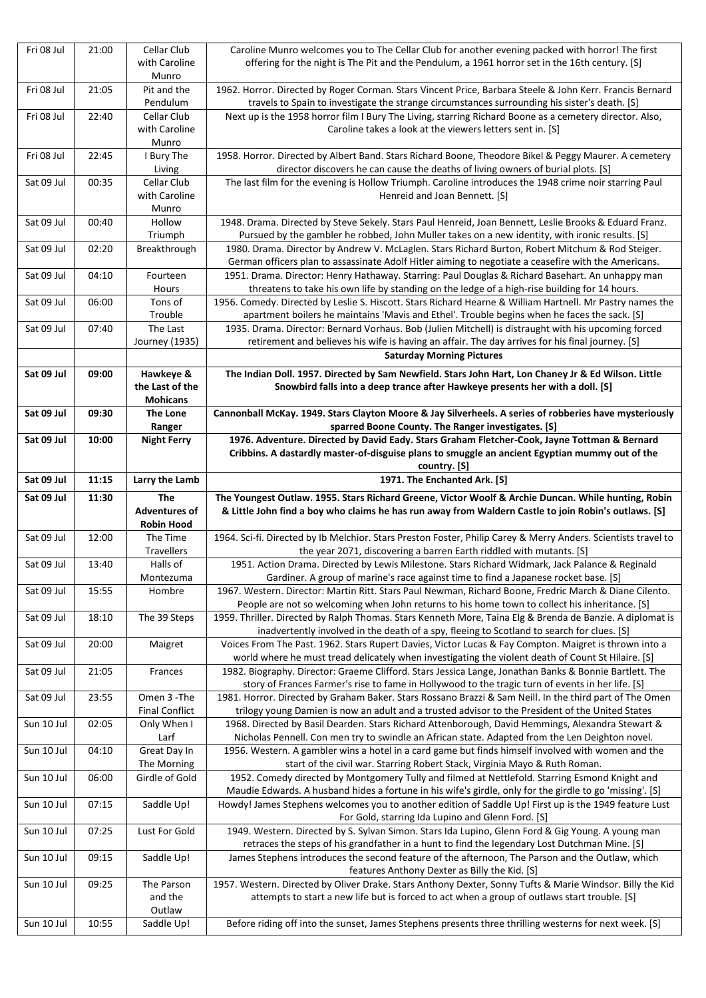| Fri 08 Jul | 21:00 | Cellar Club             | Caroline Munro welcomes you to The Cellar Club for another evening packed with horror! The first                                                                                                          |
|------------|-------|-------------------------|-----------------------------------------------------------------------------------------------------------------------------------------------------------------------------------------------------------|
|            |       | with Caroline           | offering for the night is The Pit and the Pendulum, a 1961 horror set in the 16th century. [S]                                                                                                            |
|            |       | Munro                   |                                                                                                                                                                                                           |
| Fri 08 Jul | 21:05 | Pit and the<br>Pendulum | 1962. Horror. Directed by Roger Corman. Stars Vincent Price, Barbara Steele & John Kerr. Francis Bernard<br>travels to Spain to investigate the strange circumstances surrounding his sister's death. [S] |
| Fri 08 Jul | 22:40 | Cellar Club             | Next up is the 1958 horror film I Bury The Living, starring Richard Boone as a cemetery director. Also,                                                                                                   |
|            |       | with Caroline           | Caroline takes a look at the viewers letters sent in. [S]                                                                                                                                                 |
|            |       | Munro                   |                                                                                                                                                                                                           |
| Fri 08 Jul | 22:45 | I Bury The              | 1958. Horror. Directed by Albert Band. Stars Richard Boone, Theodore Bikel & Peggy Maurer. A cemetery                                                                                                     |
|            |       | Living                  | director discovers he can cause the deaths of living owners of burial plots. [S]                                                                                                                          |
| Sat 09 Jul | 00:35 | <b>Cellar Club</b>      | The last film for the evening is Hollow Triumph. Caroline introduces the 1948 crime noir starring Paul                                                                                                    |
|            |       | with Caroline           | Henreid and Joan Bennett. [S]                                                                                                                                                                             |
|            |       | Munro                   |                                                                                                                                                                                                           |
| Sat 09 Jul | 00:40 | Hollow                  | 1948. Drama. Directed by Steve Sekely. Stars Paul Henreid, Joan Bennett, Leslie Brooks & Eduard Franz.                                                                                                    |
|            |       | Triumph                 | Pursued by the gambler he robbed, John Muller takes on a new identity, with ironic results. [S]                                                                                                           |
| Sat 09 Jul | 02:20 | Breakthrough            | 1980. Drama. Director by Andrew V. McLaglen. Stars Richard Burton, Robert Mitchum & Rod Steiger.                                                                                                          |
|            |       |                         | German officers plan to assassinate Adolf Hitler aiming to negotiate a ceasefire with the Americans.                                                                                                      |
| Sat 09 Jul | 04:10 | Fourteen                | 1951. Drama. Director: Henry Hathaway. Starring: Paul Douglas & Richard Basehart. An unhappy man                                                                                                          |
|            |       | Hours                   | threatens to take his own life by standing on the ledge of a high-rise building for 14 hours.                                                                                                             |
| Sat 09 Jul | 06:00 | Tons of                 | 1956. Comedy. Directed by Leslie S. Hiscott. Stars Richard Hearne & William Hartnell. Mr Pastry names the                                                                                                 |
|            |       | Trouble                 |                                                                                                                                                                                                           |
|            |       |                         | apartment boilers he maintains 'Mavis and Ethel'. Trouble begins when he faces the sack. [S]                                                                                                              |
| Sat 09 Jul | 07:40 | The Last                | 1935. Drama. Director: Bernard Vorhaus. Bob (Julien Mitchell) is distraught with his upcoming forced                                                                                                      |
|            |       | Journey (1935)          | retirement and believes his wife is having an affair. The day arrives for his final journey. [S]                                                                                                          |
|            |       |                         | <b>Saturday Morning Pictures</b>                                                                                                                                                                          |
| Sat 09 Jul | 09:00 | Hawkeye &               | The Indian Doll. 1957. Directed by Sam Newfield. Stars John Hart, Lon Chaney Jr & Ed Wilson. Little                                                                                                       |
|            |       | the Last of the         | Snowbird falls into a deep trance after Hawkeye presents her with a doll. [S]                                                                                                                             |
|            |       | <b>Mohicans</b>         |                                                                                                                                                                                                           |
| Sat 09 Jul | 09:30 | <b>The Lone</b>         | Cannonball McKay. 1949. Stars Clayton Moore & Jay Silverheels. A series of robberies have mysteriously                                                                                                    |
|            |       | Ranger                  | sparred Boone County. The Ranger investigates. [S]                                                                                                                                                        |
| Sat 09 Jul | 10:00 | <b>Night Ferry</b>      | 1976. Adventure. Directed by David Eady. Stars Graham Fletcher-Cook, Jayne Tottman & Bernard                                                                                                              |
|            |       |                         | Cribbins. A dastardly master-of-disguise plans to smuggle an ancient Egyptian mummy out of the                                                                                                            |
|            |       |                         | country. [S]                                                                                                                                                                                              |
| Sat 09 Jul | 11:15 | Larry the Lamb          | 1971. The Enchanted Ark. [S]                                                                                                                                                                              |
|            |       |                         |                                                                                                                                                                                                           |
|            |       |                         |                                                                                                                                                                                                           |
| Sat 09 Jul | 11:30 | <b>The</b>              | The Youngest Outlaw. 1955. Stars Richard Greene, Victor Woolf & Archie Duncan. While hunting, Robin                                                                                                       |
|            |       | <b>Adventures of</b>    | & Little John find a boy who claims he has run away from Waldern Castle to join Robin's outlaws. [S]                                                                                                      |
|            |       | <b>Robin Hood</b>       |                                                                                                                                                                                                           |
| Sat 09 Jul | 12:00 | The Time                | 1964. Sci-fi. Directed by Ib Melchior. Stars Preston Foster, Philip Carey & Merry Anders. Scientists travel to                                                                                            |
|            |       | Travellers              | the year 2071, discovering a barren Earth riddled with mutants. [S]                                                                                                                                       |
| Sat 09 Jul | 13:40 | Halls of                | 1951. Action Drama. Directed by Lewis Milestone. Stars Richard Widmark, Jack Palance & Reginald                                                                                                           |
|            |       | Montezuma               | Gardiner. A group of marine's race against time to find a Japanese rocket base. [S]                                                                                                                       |
| Sat 09 Jul | 15:55 | Hombre                  | 1967. Western. Director: Martin Ritt. Stars Paul Newman, Richard Boone, Fredric March & Diane Cilento.                                                                                                    |
|            |       |                         | People are not so welcoming when John returns to his home town to collect his inheritance. [S]                                                                                                            |
| Sat 09 Jul | 18:10 | The 39 Steps            | 1959. Thriller. Directed by Ralph Thomas. Stars Kenneth More, Taina Elg & Brenda de Banzie. A diplomat is                                                                                                 |
|            |       |                         | inadvertently involved in the death of a spy, fleeing to Scotland to search for clues. [S]                                                                                                                |
| Sat 09 Jul | 20:00 | Maigret                 | Voices From The Past. 1962. Stars Rupert Davies, Victor Lucas & Fay Compton. Maigret is thrown into a                                                                                                     |
|            |       |                         | world where he must tread delicately when investigating the violent death of Count St Hilaire. [S]                                                                                                        |
| Sat 09 Jul | 21:05 | Frances                 | 1982. Biography. Director: Graeme Clifford. Stars Jessica Lange, Jonathan Banks & Bonnie Bartlett. The                                                                                                    |
|            |       |                         | story of Frances Farmer's rise to fame in Hollywood to the tragic turn of events in her life. [S]                                                                                                         |
| Sat 09 Jul | 23:55 | Omen 3 - The            | 1981. Horror. Directed by Graham Baker. Stars Rossano Brazzi & Sam Neill. In the third part of The Omen                                                                                                   |
|            |       | <b>Final Conflict</b>   | trilogy young Damien is now an adult and a trusted advisor to the President of the United States                                                                                                          |
| Sun 10 Jul | 02:05 | Only When I             | 1968. Directed by Basil Dearden. Stars Richard Attenborough, David Hemmings, Alexandra Stewart &                                                                                                          |
|            |       | Larf                    | Nicholas Pennell. Con men try to swindle an African state. Adapted from the Len Deighton novel.                                                                                                           |
| Sun 10 Jul | 04:10 | Great Day In            | 1956. Western. A gambler wins a hotel in a card game but finds himself involved with women and the                                                                                                        |
|            |       | The Morning             | start of the civil war. Starring Robert Stack, Virginia Mayo & Ruth Roman.                                                                                                                                |
| Sun 10 Jul | 06:00 | Girdle of Gold          | 1952. Comedy directed by Montgomery Tully and filmed at Nettlefold. Starring Esmond Knight and                                                                                                            |
|            |       |                         | Maudie Edwards. A husband hides a fortune in his wife's girdle, only for the girdle to go 'missing'. [S]                                                                                                  |
| Sun 10 Jul | 07:15 | Saddle Up!              | Howdy! James Stephens welcomes you to another edition of Saddle Up! First up is the 1949 feature Lust                                                                                                     |
|            |       |                         | For Gold, starring Ida Lupino and Glenn Ford. [S]                                                                                                                                                         |
| Sun 10 Jul | 07:25 | Lust For Gold           | 1949. Western. Directed by S. Sylvan Simon. Stars Ida Lupino, Glenn Ford & Gig Young. A young man                                                                                                         |
|            |       |                         | retraces the steps of his grandfather in a hunt to find the legendary Lost Dutchman Mine. [S]                                                                                                             |
| Sun 10 Jul | 09:15 | Saddle Up!              | James Stephens introduces the second feature of the afternoon, The Parson and the Outlaw, which                                                                                                           |
|            |       |                         | features Anthony Dexter as Billy the Kid. [S]                                                                                                                                                             |
| Sun 10 Jul | 09:25 | The Parson              | 1957. Western. Directed by Oliver Drake. Stars Anthony Dexter, Sonny Tufts & Marie Windsor. Billy the Kid                                                                                                 |
|            |       | and the                 | attempts to start a new life but is forced to act when a group of outlaws start trouble. [S]                                                                                                              |
| Sun 10 Jul | 10:55 | Outlaw<br>Saddle Up!    | Before riding off into the sunset, James Stephens presents three thrilling westerns for next week. [S]                                                                                                    |